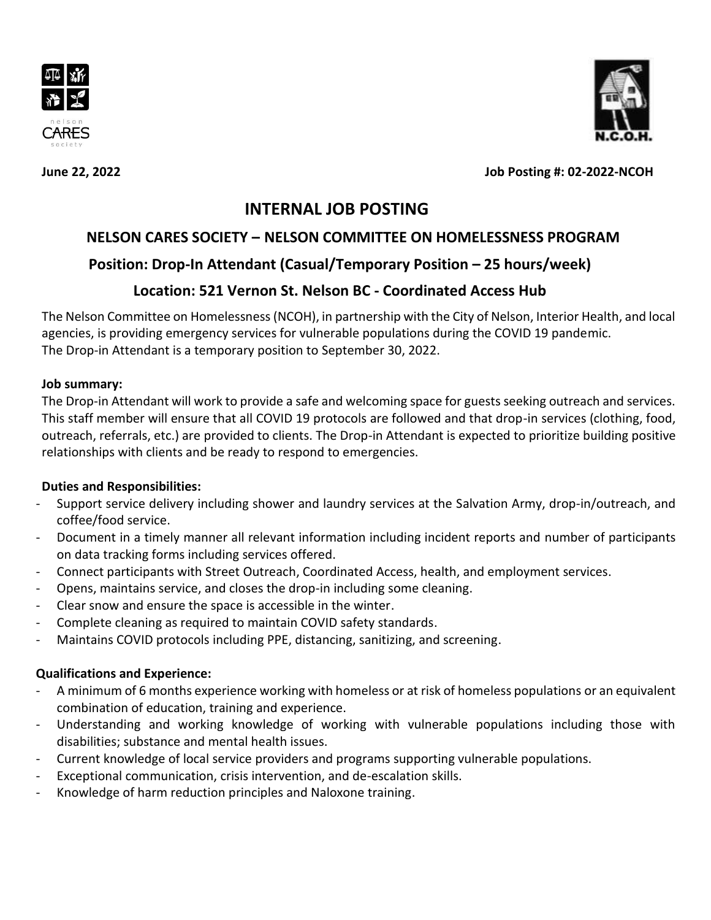





**June 22, 2022 Job Posting #: 02-2022-NCOH**

# **INTERNAL JOB POSTING**

## **NELSON CARES SOCIETY – NELSON COMMITTEE ON HOMELESSNESS PROGRAM**

## **Position: Drop-In Attendant (Casual/Temporary Position – 25 hours/week)**

# **Location: 521 Vernon St. Nelson BC - Coordinated Access Hub**

The Nelson Committee on Homelessness (NCOH), in partnership with the City of Nelson, Interior Health, and local agencies, is providing emergency services for vulnerable populations during the COVID 19 pandemic. The Drop-in Attendant is a temporary position to September 30, 2022.

### **Job summary:**

The Drop-in Attendant will work to provide a safe and welcoming space for guests seeking outreach and services. This staff member will ensure that all COVID 19 protocols are followed and that drop-in services (clothing, food, outreach, referrals, etc.) are provided to clients. The Drop-in Attendant is expected to prioritize building positive relationships with clients and be ready to respond to emergencies.

## **Duties and Responsibilities:**

- Support service delivery including shower and laundry services at the Salvation Army, drop-in/outreach, and coffee/food service.
- Document in a timely manner all relevant information including incident reports and number of participants on data tracking forms including services offered.
- Connect participants with Street Outreach, Coordinated Access, health, and employment services.
- Opens, maintains service, and closes the drop-in including some cleaning.
- Clear snow and ensure the space is accessible in the winter.
- Complete cleaning as required to maintain COVID safety standards.
- Maintains COVID protocols including PPE, distancing, sanitizing, and screening.

## **Qualifications and Experience:**

- A minimum of 6 months experience working with homeless or at risk of homeless populations or an equivalent combination of education, training and experience.
- Understanding and working knowledge of working with vulnerable populations including those with disabilities; substance and mental health issues.
- Current knowledge of local service providers and programs supporting vulnerable populations.
- Exceptional communication, crisis intervention, and de-escalation skills.
- Knowledge of harm reduction principles and Naloxone training.